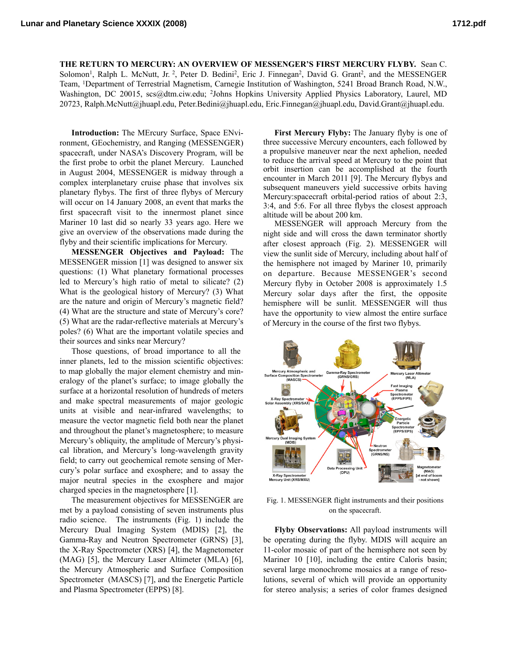**THE RETURN TO MERCURY: AN OVERVIEW OF MESSENGER'S FIRST MERCURY FLYBY.** Sean C. Solomon<sup>1</sup>, Ralph L. McNutt, Jr. <sup>2</sup>, Peter D. Bedini<sup>2</sup>, Eric J. Finnegan<sup>2</sup>, David G. Grant<sup>2</sup>, and the MESSENGER Team, 1Department of Terrestrial Magnetism, Carnegie Institution of Washington, 5241 Broad Branch Road, N.W., Washington, DC 20015, [scs@dtm.ciw.edu;](mailto:scs@dtm.ciw.edu) 2Johns Hopkins University Applied Physics Laboratory, Laurel, MD 20723, [Ralph.McNutt@jhuapl.edu,](mailto:Ralph.McNutt@jhuapl.edu) [Peter.Bedini@jhuapl.edu,](mailto:Peter.Bedini@jhuapl.edu) [Eric.Finnegan@jhuapl.edu](mailto:Eric.Finnegan@jhuapl.edu), David.Grant@jhuapl.edu.

**Introduction:** The MErcury Surface, Space ENvironment, GEochemistry, and Ranging (MESSENGER) spacecraft, under NASA's Discovery Program, will be the first probe to orbit the planet Mercury. Launched in August 2004, MESSENGER is midway through a complex interplanetary cruise phase that involves six planetary flybys. The first of three flybys of Mercury will occur on 14 January 2008, an event that marks the first spacecraft visit to the innermost planet since Mariner 10 last did so nearly 33 years ago. Here we give an overview of the observations made during the flyby and their scientific implications for Mercury.

**MESSENGER Objectives and Payload:** The MESSENGER mission [1] was designed to answer six questions: (1) What planetary formational processes led to Mercury's high ratio of metal to silicate? (2) What is the geological history of Mercury? (3) What are the nature and origin of Mercury's magnetic field? (4) What are the structure and state of Mercury's core? (5) What are the radar-reflective materials at Mercury's poles? (6) What are the important volatile species and their sources and sinks near Mercury?

Those questions, of broad importance to all the inner planets, led to the mission scientific objectives: to map globally the major element chemistry and mineralogy of the planet's surface; to image globally the surface at a horizontal resolution of hundreds of meters and make spectral measurements of major geologic units at visible and near-infrared wavelengths; to measure the vector magnetic field both near the planet and throughout the planet's magnetosphere; to measure Mercury's obliquity, the amplitude of Mercury's physical libration, and Mercury's long-wavelength gravity field; to carry out geochemical remote sensing of Mercury's polar surface and exosphere; and to assay the major neutral species in the exosphere and major charged species in the magnetosphere [1].

The measurement objectives for MESSENGER are met by a payload consisting of seven instruments plus radio science. The instruments (Fig. 1) include the Mercury Dual Imaging System (MDIS) [2], the Gamma-Ray and Neutron Spectrometer (GRNS) [3], the X-Ray Spectrometer (XRS) [4], the Magnetometer (MAG) [5], the Mercury Laser Altimeter (MLA) [6], the Mercury Atmospheric and Surface Composition Spectrometer (MASCS) [7], and the Energetic Particle and Plasma Spectrometer (EPPS) [8].

**First Mercury Flyby:** The January flyby is one of three successive Mercury encounters, each followed by a propulsive maneuver near the next aphelion, needed to reduce the arrival speed at Mercury to the point that orbit insertion can be accomplished at the fourth encounter in March 2011 [9]. The Mercury flybys and subsequent maneuvers yield successive orbits having Mercury:spacecraft orbital-period ratios of about 2:3, 3:4, and 5:6. For all three flybys the closest approach altitude will be about 200 km.

MESSENGER will approach Mercury from the night side and will cross the dawn terminator shortly after closest approach (Fig. 2). MESSENGER will view the sunlit side of Mercury, including about half of the hemisphere not imaged by Mariner 10, primarily on departure. Because MESSENGER's second Mercury flyby in October 2008 is approximately 1.5 Mercury solar days after the first, the opposite hemisphere will be sunlit. MESSENGER will thus have the opportunity to view almost the entire surface of Mercury in the course of the first two flybys.



Fig. 1. MESSENGER flight instruments and their positions on the spacecraft.

**Flyby Observations:** All payload instruments will be operating during the flyby. MDIS will acquire an 11-color mosaic of part of the hemisphere not seen by Mariner 10 [10], including the entire Caloris basin; several large monochrome mosaics at a range of resolutions, several of which will provide an opportunity for stereo analysis; a series of color frames designed